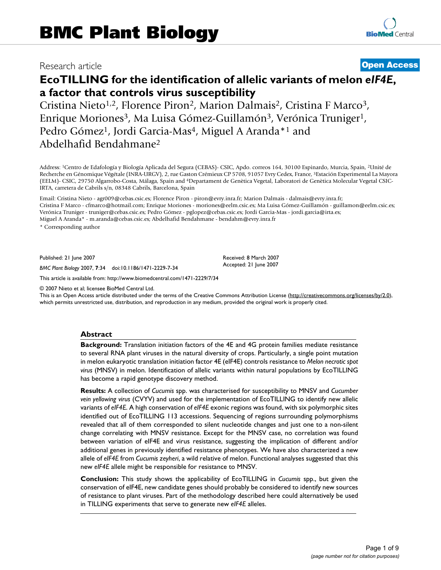## Research article **[Open Access](http://www.biomedcentral.com/info/about/charter/)**

# **EcoTILLING for the identification of allelic variants of melon** *eIF4E***, a factor that controls virus susceptibility**

Cristina Nieto<sup>1,2</sup>, Florence Piron<sup>2</sup>, Marion Dalmais<sup>2</sup>, Cristina F Marco<sup>3</sup>, Enrique Moriones<sup>3</sup>, Ma Luisa Gómez-Guillamón<sup>3</sup>, Verónica Truniger<sup>1</sup>, Pedro Gómez<sup>1</sup>, Jordi Garcia-Mas<sup>4</sup>, Miguel A Aranda<sup>\*1</sup> and Abdelhafid Bendahmane2

Address: 1Centro de Edafología y Biología Aplicada del Segura (CEBAS)- CSIC, Apdo. correos 164, 30100 Espinardo, Murcia, Spain, 2Unité de Recherche en Génomique Végétale (INRA-URGV), 2, rue Gaston Crémieux CP 5708, 91057 Evry Cedex, France, 3Estación Experimental La Mayora (EELM)- CSIC, 29750 Algarrobo-Costa, Málaga, Spain and 4Departament de Genètica Vegetal, Laboratori de Genètica Molecular Vegetal CSIC-IRTA, carretera de Cabrils s/n, 08348 Cabrils, Barcelona, Spain

Email: Cristina Nieto - agr009@cebas.csic.es; Florence Piron - piron@evry.inra.fr; Marion Dalmais - dalmais@evry.inra.fr; Cristina F Marco - cfmarco@hotmail.com; Enrique Moriones - moriones@eelm.csic.es; Ma Luisa Gómez-Guillamón - guillamon@eelm.csic.es; Verónica Truniger - truniger@cebas.csic.es; Pedro Gómez - pglopez@cebas.csic.es; Jordi Garcia-Mas - jordi.garcia@irta.es; Miguel A Aranda\* - m.aranda@cebas.csic.es; Abdelhafid Bendahmane - bendahm@evry.inra.fr

> Received: 8 March 2007 Accepted: 21 June 2007

\* Corresponding author

Published: 21 June 2007

*BMC Plant Biology* 2007, **7**:34 doi:10.1186/1471-2229-7-34

[This article is available from: http://www.biomedcentral.com/1471-2229/7/34](http://www.biomedcentral.com/1471-2229/7/34)

© 2007 Nieto et al; licensee BioMed Central Ltd.

This is an Open Access article distributed under the terms of the Creative Commons Attribution License [\(http://creativecommons.org/licenses/by/2.0\)](http://creativecommons.org/licenses/by/2.0), which permits unrestricted use, distribution, and reproduction in any medium, provided the original work is properly cited.

#### **Abstract**

**Background:** Translation initiation factors of the 4E and 4G protein families mediate resistance to several RNA plant viruses in the natural diversity of crops. Particularly, a single point mutation in melon eukaryotic translation initiation factor 4E (eIF4E) controls resistance to *Melon necrotic spot virus* (MNSV) in melon. Identification of allelic variants within natural populations by EcoTILLING has become a rapid genotype discovery method.

**Results:** A collection of *Cucumis* spp. was characterised for susceptibility to MNSV and *Cucumber vein yellowing virus* (CVYV) and used for the implementation of EcoTILLING to identify new allelic variants of *eIF4E*. A high conservation of *eIF4E* exonic regions was found, with six polymorphic sites identified out of EcoTILLING 113 accessions. Sequencing of regions surrounding polymorphisms revealed that all of them corresponded to silent nucleotide changes and just one to a non-silent change correlating with MNSV resistance. Except for the MNSV case, no correlation was found between variation of eIF4E and virus resistance, suggesting the implication of different and/or additional genes in previously identified resistance phenotypes. We have also characterized a new allele of *eIF4E* from *Cucumis zeyheri*, a wild relative of melon. Functional analyses suggested that this new *eIF4E* allele might be responsible for resistance to MNSV.

**Conclusion:** This study shows the applicability of EcoTILLING in *Cucumis* spp., but given the conservation of eIF4E, new candidate genes should probably be considered to identify new sources of resistance to plant viruses. Part of the methodology described here could alternatively be used in TILLING experiments that serve to generate new *eIF4E* alleles.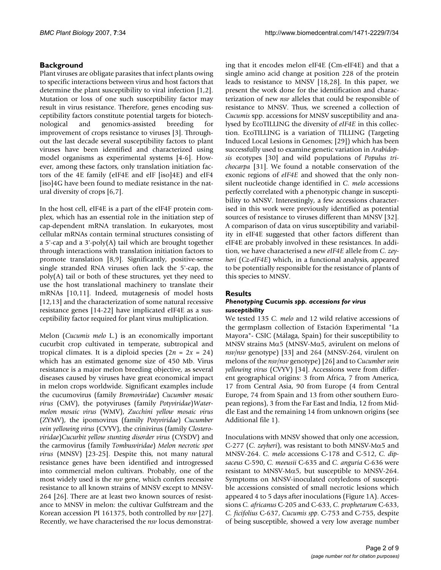## **Background**

Plant viruses are obligate parasites that infect plants owing to specific interactions between virus and host factors that determine the plant susceptibility to viral infection [1,2]. Mutation or loss of one such susceptibility factor may result in virus resistance. Therefore, genes encoding susceptibility factors constitute potential targets for biotechnological and genomics-assisted breeding for improvement of crops resistance to viruses [3]. Throughout the last decade several susceptibility factors to plant viruses have been identified and characterized using model organisms as experimental systems [4-6]. However, among these factors, only translation initiation factors of the 4E family (eIF4E and eIF [iso]4E) and eIF4 [iso]4G have been found to mediate resistance in the natural diversity of crops [6,7].

In the host cell, eIF4E is a part of the eIF4F protein complex, which has an essential role in the initiation step of cap-dependent mRNA translation. In eukaryotes, most cellular mRNAs contain terminal structures consisting of a 5'-cap and a 3'-poly(A) tail which are brought together through interactions with translation initiation factors to promote translation [8,9]. Significantly, positive-sense single stranded RNA viruses often lack the 5'-cap, the poly(A) tail or both of these structures, yet they need to use the host translational machinery to translate their mRNAs [10,11]. Indeed, mutagenesis of model hosts [12,13] and the characterization of some natural recessive resistance genes [14-22] have implicated eIF4E as a susceptibility factor required for plant virus multiplication.

Melon (*Cucumis melo* L.) is an economically important cucurbit crop cultivated in temperate, subtropical and tropical climates. It is a diploid species  $(2n = 2x = 24)$ which has an estimated genome size of 450 Mb. Virus resistance is a major melon breeding objective, as several diseases caused by viruses have great economical impact in melon crops worldwide. Significant examples include the cucumovirus (family *Bromoviridae*) *Cucumber mosaic virus* (CMV), the potyviruses (family *Potyviridae*)*Watermelon mosaic virus* (WMV), *Zucchini yellow mosaic virus* (ZYMV), the ipomovirus (family *Potyviridae*) *Cucumber vein yellowing virus* (CVYV), the crinivirus (family *Closteroviridae*)*Cucurbit yellow stunting disorder virus* (CYSDV) and the carmovirus (family *Tombusviridae*) *Melon necrotic spot virus* (MNSV) [23-25]. Despite this, not many natural resistance genes have been identified and introgressed into commercial melon cultivars. Probably, one of the most widely used is the *nsv* gene, which confers recessive resistance to all known strains of MNSV except to MNSV-264 [26]. There are at least two known sources of resistance to MNSV in melon: the cultivar Gulfstream and the Korean accession PI 161375, both controlled by *nsv* [27]. Recently, we have characterised the *nsv* locus demonstrating that it encodes melon eIF4E (Cm-eIF4E) and that a single amino acid change at position 228 of the protein leads to resistance to MNSV [18,28]. In this paper, we present the work done for the identification and characterization of new *nsv* alleles that could be responsible of resistance to MNSV. Thus, we screened a collection of *Cucumis* spp. accessions for MNSV susceptibility and analysed by EcoTILLING the diversity of *eIF4E* in this collection. EcoTILLING is a variation of TILLING (Targeting Induced Local Lesions in Genomes; [29]) which has been successfully used to examine genetic variation in *Arabidopsis* ecotypes [30] and wild populations of *Populus trichocarpa* [31]. We found a notable conservation of the exonic regions of *eIF4E* and showed that the only nonsilent nucleotide change identified in *C. melo* accessions perfectly correlated with a phenotypic change in susceptibility to MNSV. Interestingly, a few accessions characterised in this work were previously identified as potential sources of resistance to viruses different than MNSV [32]. A comparison of data on virus susceptibility and variability in eIF4E suggested that other factors different than eIF4E are probably involved in these resistances. In addition, we have characterised a new *eIF4E* allele from *C. zeyheri* (*Cz-eIF4E*) which, in a functional analysis, appeared to be potentially responsible for the resistance of plants of this species to MNSV.

## **Results**

#### *Phenotyping* **Cucumis** *spp. accessions for virus susceptibility*

We tested 135 *C. melo* and 12 wild relative accessions of the germplasm collection of Estación Experimental "La Mayora"- CSIC (Málaga, Spain) for their susceptibility to MNSV strains Mα5 (MNSV-Mα5, avirulent on melons of *nsv/nsv* genotype) [33] and 264 (MNSV-264, virulent on melons of the *nsv/nsv* genotype) [26] and to *Cucumber vein yellowing virus* (CVYV) [34]. Accessions were from different geographical origins: 3 from Africa, 7 from America, 17 from Central Asia, 90 from Europe (4 from Central Europe, 74 from Spain and 13 from other southern European regions), 3 from the Far East and India, 12 from Middle East and the remaining 14 from unknown origins (see Additional file 1).

Inoculations with MNSV showed that only one accession, C-277 (*C. zeyheri*), was resistant to both MNSV-Mα5 and MNSV-264. *C. melo* accessions C-178 and C-512, *C. dipsaceus* C-590, *C. meeusii* C-635 and *C. anguria* C-636 were resistant to MNSV-Mα5, but susceptible to MNSV-264. Symptoms on MNSV-inoculated cotyledons of susceptible accessions consisted of small necrotic lesions which appeared 4 to 5 days after inoculations (Figure 1A). Accessions *C. africanus* C-205 and C-633, *C. prophetarum* C-633, *C. ficifolius* C-637, *Cucumis spp*. C-753 and C-755, despite of being susceptible, showed a very low average number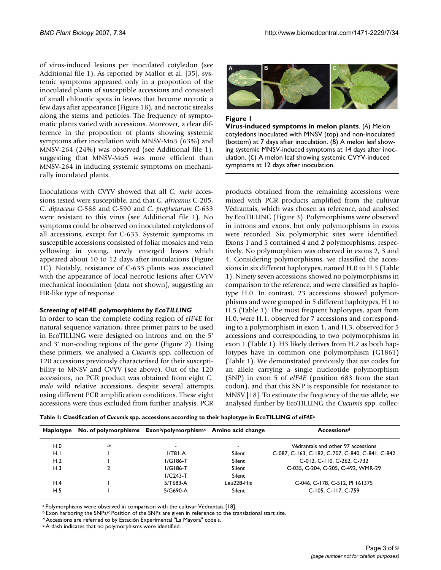of virus-induced lesions per inoculated cotyledon (see Additional file 1). As reported by Mallor et al. [35], systemic symptoms appeared only in a proportion of the inoculated plants of susceptible accessions and consisted of small chlorotic spots in leaves that become necrotic a few days after appearance (Figure 1B), and necrotic streaks along the stems and petioles. The frequency of symptomatic plants varied with accessions. Moreover, a clear difference in the proportion of plants showing systemic symptoms after inoculation with MNSV-Mα5 (63%) and MNSV-264 (24%) was observed (see Additional file 1), suggesting that MNSV-M $\alpha$ 5 was more efficient than MNSV-264 in inducing systemic symptoms on mechanically inoculated plants.

Inoculations with CVYV showed that all *C. melo* accessions tested were susceptible, and that *C. africanus* C-205, *C. dipsaceus* C-588 and C-590 and *C. prophetarum* C-633 were resistant to this virus (see Additional file 1). No symptoms could be observed on inoculated cotyledons of all accessions, except for C-633. Systemic symptoms in susceptible accessions consisted of foliar mosaics and vein yellowing in young, newly emerged leaves which appeared about 10 to 12 days after inoculations (Figure 1C). Notably, resistance of C-633 plants was associated with the appearance of local necrotic lesions after CVYV mechanical inoculation (data not shown), suggesting an HR-like type of response.

### *Screening of* **eIF4E** *polymorphisms by EcoTILLING*

In order to scan the complete coding region of *eIF4E* for natural sequence variation, three primer pairs to be used in EcoTILLING were designed on introns and on the 5' and 3' non-coding regions of the gene (Figure 2). Using these primers, we analysed a *Cucumis* spp. collection of 120 accessions previously characterised for their susceptibility to MNSV and CVYV (see above). Out of the 120 accessions, no PCR product was obtained from eight *C. melo* wild relative accessions, despite several attempts using different PCR amplification conditions. These eight accessions were thus excluded from further analysis. PCR



#### **Figure 1**

**Virus-induced symptoms in melon plants**. (*A*) Melon cotyledons inoculated with MNSV (top) and non-inoculated (bottom) at 7 days after inoculation. (*B*) A melon leaf showing systemic MNSV-induced symptoms at 14 days after inoculation. (*C*) A melon leaf showing systemic CVYV-induced symptoms at 12 days after inoculation.

products obtained from the remaining accessions were mixed with PCR products amplified from the cultivar Védrantais, which was chosen as reference, and analysed by EcoTILLING (Figure 3). Polymorphisms were observed in introns and exons, but only polymorphisms in exons were recorded. Six polymorphic sites were identified. Exons 1 and 5 contained 4 and 2 polymorphisms, respectively. No polymorphism was observed in exons 2, 3 and 4. Considering polymorphisms, we classified the accessions in six different haplotypes, named H.0 to H.5 (Table 1). Ninety seven accessions showed no polymorphisms in comparison to the reference, and were classified as haplotype H.0. In contrast, 23 accessions showed polymorphisms and were grouped in 5 different haplotypes, H1 to H.5 (Table 1). The most frequent haplotypes, apart from H.0, were H.1, observed for 7 accessions and corresponding to a polymorphism in exon 1, and H.3, observed for 5 accessions and corresponding to two polymorphisms in exon 1 (Table 1). H3 likely derives from H.2 as both haplotypes have in common one polymorphism (G186T) (Table 1). We demonstrated previously that *nsv* codes for an allele carrying a single nucleotide polymorphism (SNP) in exon 5 of *eIF4E* (position 683 from the start codon), and that this SNP is responsible for resistance to MNSV [18]. To estimate the frequency of the *nsv* allele, we analysed further by EcoTILLING the *Cucumis* spp. collec-

**Table 1: Classification of** *Cucumis* **spp. accessions according to their haplotype in EcoTILLING of** *eIF4E***<sup>a</sup>**

| Haplotype |      | No. of polymorphisms $\mathsf{Exon}^b$ /polymorphism <sup>c</sup> Amino acid change |            | Accessions <sup>d</sup>                         |  |  |  |
|-----------|------|-------------------------------------------------------------------------------------|------------|-------------------------------------------------|--|--|--|
| H.0       | $-e$ | $\,$                                                                                |            | Védrantais and other 97 accessions              |  |  |  |
| H.I       |      | $1/T81-A$                                                                           | Silent     | C-087, C-163, C-182, C-707, C-840, C-841, C-842 |  |  |  |
| H.2       |      | $I/G186-T$                                                                          | Silent     | C-012, C-110, C-262, C-732                      |  |  |  |
| H.3       |      | $I/G186-T$                                                                          | Silent     | C-035, C-204, C-205, C-492, WMR-29              |  |  |  |
|           |      | $I/C243-T$                                                                          | Silent     |                                                 |  |  |  |
| H.4       |      | $5/T683-A$                                                                          | Leu228-His | C-046, C-178, C-512, PI 161375                  |  |  |  |
| H.5       |      | 5/G690-A                                                                            | Silent     | C-105, C-117, C-759                             |  |  |  |

a Polymorphisms were observed in comparison with the cultivar Védrantais [18].

<sup>b</sup> Exon harboring the SNPs/<sup>c</sup> Position of the SNPs are given in reference to the translational start site.

d Accessions are referred to by Estación Experimental "La Mayora" code's.

e A dash indicates that no polymorphisms were identified.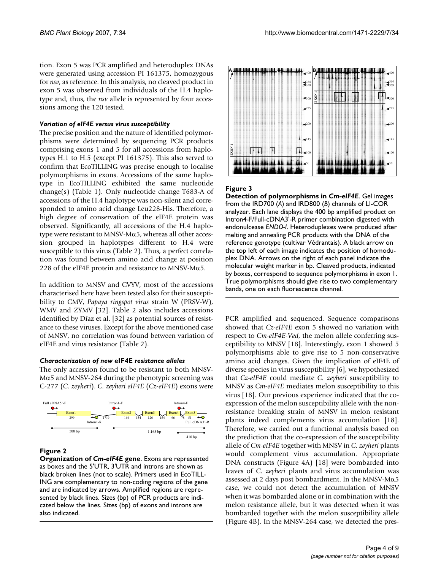tion. Exon 5 was PCR amplified and heteroduplex DNAs were generated using accession PI 161375, homozygous for *nsv*, as reference. In this analysis, no cleaved product in exon 5 was observed from individuals of the H.4 haplotype and, thus, the *nsv* allele is represented by four accessions among the 120 tested.

#### *Variation of eIF4E versus virus susceptibility*

The precise position and the nature of identified polymorphisms were determined by sequencing PCR products comprising exons 1 and 5 for all accessions from haplotypes H.1 to H.5 (except PI 161375). This also served to confirm that EcoTILLING was precise enough to localise polymorphisms in exons. Accessions of the same haplotype in EcoTILLING exhibited the same nucleotide change(s) (Table 1). Only nucleotide change T683-A of accessions of the H.4 haplotype was non-silent and corresponded to amino acid change Leu228-His. Therefore, a high degree of conservation of the eIF4E protein was observed. Significantly, all accessions of the H.4 haplotype were resistant to MNSV-Mα5, whereas all other accession grouped in haplotypes different to H.4 were susceptible to this virus (Table 2). Thus, a perfect correlation was found between amino acid change at position 228 of the eIF4E protein and resistance to MNSV-M $\alpha$ 5.

In addition to MNSV and CVYV, most of the accessions characterised here have been tested also for their susceptibility to CMV, *Papaya ringspot virus* strain W (PRSV-W), WMV and ZYMV [32]. Table 2 also includes accessions identified by Díaz et al. [32] as potential sources of resistance to these viruses. Except for the above mentioned case of MNSV, no correlation was found between variation of eIF4E and virus resistance (Table 2).

### *Characterization of new* **eIF4E** *resistance alleles*

The only accession found to be resistant to both MNSV- $Mα5$  and MNSV-264 during the phenotypic screening was C-277 (*C. zeyheri*). *C. zeyheri eIF4E* (*Cz-eIF4E*) exons were



## **Figure 2**

**Organization of** *Cm-eIF4E* **gene**. Exons are represented as boxes and the 5'UTR, 3'UTR and introns are shown as black broken lines (not to scale). Primers used in EcoTILL-ING are complementary to non-coding regions of the gene and are indicated by arrows. Amplified regions are represented by black lines. Sizes (bp) of PCR products are indicated below the lines. Sizes (bp) of exons and introns are also indicated.



## **Figure 3**

**Detection of polymorphisms in** *Cm-eIF4E*. Gel images from the IRD700 (*A*) and IRD800 (*B*) channels of LI-COR analyzer. Each lane displays the 400 bp amplified product on Intron4-F/Full-cDNA3'-R primer combination digested with endonulcease *ENDO-I*. Heteroduplexes were produced after melting and annealing PCR products with the DNA of the reference genotype (cultivar Védrantais). A black arrow on the top left of each image indicates the position of homoduplex DNA. Arrows on the right of each panel indicate the molecular weight marker in bp. Cleaved products, indicated by boxes, correspond to sequence polymorphisms in exon 1. True polymorphisms should give rise to two complementary bands, one on each fluorescence channel.

PCR amplified and sequenced. Sequence comparisons showed that *Cz-eIF4E* exon 5 showed no variation with respect to *Cm-eIF4E-Ved*, the melon allele conferring susceptibility to MNSV [18]. Interestingly, exon 1 showed 5 polymorphisms able to give rise to 5 non-conservative amino acid changes. Given the implication of eIF4E of diverse species in virus susceptibility [6], we hypothesized that *Cz-eIF4E* could mediate *C. zeyheri* susceptibility to MNSV as *Cm-eIF4E* mediates melon susceptibility to this virus [18]. Our previous experience indicated that the coexpression of the melon susceptibility allele with the nonresistance breaking strain of MNSV in melon resistant plants indeed complements virus accumulation [18]. Therefore, we carried out a functional analysis based on the prediction that the co-expression of the susceptibility allele of *Cm-eIF4E* together with MNSV in *C. zeyheri* plants would complement virus accumulation. Appropriate DNA constructs (Figure 4A) [18] were bombarded into leaves of *C. zeyheri* plants and virus accumulation was assessed at 2 days post bombardment. In the MNSV-Mα5 case, we could not detect the accumulation of MNSV when it was bombarded alone or in combination with the melon resistance allele, but it was detected when it was bombarded together with the melon susceptibility allele (Figure 4B). In the MNSV-264 case, we detected the pres-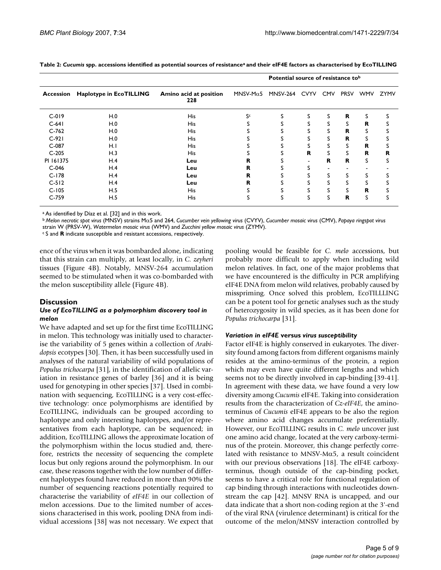|           |                         |                               | Potential source of resistance tob |                   |   |   |             |             |             |
|-----------|-------------------------|-------------------------------|------------------------------------|-------------------|---|---|-------------|-------------|-------------|
| Accession | Haplotype in EcoTILLING | Amino acid at position<br>228 | MNSV-M $\alpha$ 5                  | MNSV-264 CVYV CMV |   |   | <b>PRSV</b> | <b>WMV</b>  | <b>ZYMV</b> |
| $C-019$   | H.0                     | <b>His</b>                    | Sc                                 | S                 | S | S | R.          | S           |             |
| $C-641$   | H.0                     | <b>His</b>                    |                                    |                   |   | S | S           | R           |             |
| $C-762$   | H.0                     | <b>His</b>                    |                                    |                   |   | S | R           | S           |             |
| $C-921$   | H.0                     | <b>His</b>                    |                                    |                   |   | S | $\mathbf R$ | S           |             |
| $C-087$   | H.I                     | <b>His</b>                    |                                    |                   |   | S | S           | R           | S           |
| $C-205$   | H.3                     | <b>His</b>                    |                                    | S                 | R | S | s           | $\mathbf R$ | R           |
| PI 161375 | H.4                     | Leu                           | R                                  |                   |   | R | $\mathbf R$ | S           | S           |
| $C-046$   | H.4                     | Leu                           | R                                  |                   |   |   |             |             |             |
| $C-178$   | H.4                     | Leu                           | R                                  |                   |   | S | S           | S           |             |
| $C-512$   | H.4                     | Leu                           | R                                  |                   |   |   | S           | S           |             |
| $C-105$   | H.5                     | <b>His</b>                    |                                    |                   | S | S | S           | R           |             |
| $C-759$   | H.5                     | His                           | C                                  | S                 | S | S | $\mathbf R$ | S           | S           |

**Table 2:** *Cucumis* **spp. accessions identified as potential sources of resistancea and their eIF4E factors as characterised by EcoTILLING**

a As identified by Díaz et al. [32] and in this work.

<sup>b</sup>*Melon necrotic spot virus* (MNSV) strains Mα5 and 264, *Cucumber vein yellowing virus* (CVYV), *Cucumber mosaic virus* (CMV), *Papaya ringspot virus* 

strain W (PRSV-W), *Watermelon mosaic virus* (WMV) and *Zucchini yellow mosaic virus* (ZYMV).

c S and **R** indicate susceptible and resistant accessions, respectively.

ence of the virus when it was bombarded alone, indicating that this strain can multiply, at least locally, in *C. zeyheri* tissues (Figure 4B). Notably, MNSV-264 accumulation seemed to be stimulated when it was co-bombarded with the melon susceptibility allele (Figure 4B).

#### **Discussion**

#### *Use of EcoTILLING as a polymorphism discovery tool in melon*

We have adapted and set up for the first time EcoTILLING in melon. This technology was initially used to characterise the variability of 5 genes within a collection of *Arabidopsis* ecotypes [30]. Then, it has been successfully used in analyses of the natural variability of wild populations of *Populus trichocarpa* [31], in the identification of allelic variation in resistance genes of barley [36] and it is being used for genotyping in other species [37]. Used in combination with sequencing, EcoTILLING is a very cost-effective technology: once polymorphisms are identified by EcoTILLING, individuals can be grouped according to haplotype and only interesting haplotypes, and/or representatives from each haplotype, can be sequenced; in addition, EcoTILLING allows the approximate location of the polymorphism within the locus studied and, therefore, restricts the necessity of sequencing the complete locus but only regions around the polymorphism. In our case, these reasons together with the low number of different haplotypes found have reduced in more than 90% the number of sequencing reactions potentially required to characterise the variability of *eIF4E* in our collection of melon accessions. Due to the limited number of accessions characterised in this work, pooling DNA from individual accessions [38] was not necessary. We expect that

pooling would be feasible for *C. melo* accessions, but probably more difficult to apply when including wild melon relatives. In fact, one of the major problems that we have encountered is the difficulty in PCR amplifying eIF4E DNA from melon wild relatives, probably caused by misspriming. Once solved this problem, EcoTILLLING can be a potent tool for genetic analyses such as the study of heterozygosity in wild species, as it has been done for *Populus trichocarpa* [31].

#### *Variation in eIF4E* **versus** *virus susceptibility*

Factor eIF4E is highly conserved in eukaryotes. The diversity found among factors from different organisms mainly resides at the amino-terminus of the protein, a region which may even have quite different lengths and which seems not to be directly involved in cap-binding [39-41]. In agreement with these data, we have found a very low diversity among *Cucumis* eIF4E. Taking into consideration results from the characterization of *Cz-eIF4E*, the aminoterminus of *Cucumis* eIF4E appears to be also the region where amino acid changes accumulate preferentially. However, our EcoTILLING results in *C. melo* uncover just one amino acid change, located at the very carboxy-terminus of the protein. Moreover, this change perfectly correlated with resistance to MNSV-M $\alpha$ 5, a result coincident with our previous observations [18]. The eIF4E carboxyterminus, though outside of the cap-binding pocket, seems to have a critical role for functional regulation of cap binding through interactions with nucleotides downstream the cap [42]. MNSV RNA is uncapped, and our data indicate that a short non-coding region at the 3'-end of the viral RNA (virulence determinant) is critical for the outcome of the melon/MNSV interaction controlled by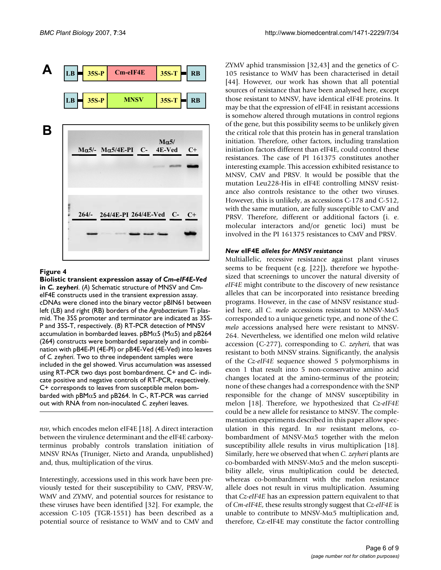

#### Biolistic transient e *heri* **Figure 4** xpression assay of *Cm-eIF4E-Ved* in *C. zey-*

**Biolistic transient expression assay of** *Cm-eIF4E-Ved*  **in** *C. zeyheri*. (*A*) Schematic structure of MNSV and CmeIF4E constructs used in the transient expression assay. cDNAs were cloned into the binary vector pBIN61 between left (LB) and right (RB) borders of the *Agrobacterium* Ti plasmid. The 35S promoter and terminator are indicated as 35S-P and 35S-T, respectively. (*B*) RT-PCR detection of MNSV accumulation in bombarded leaves. pBM $\alpha$ 5 (M $\alpha$ 5) and pB264 (264) constructs were bombarded separately and in combination with pB4E-PI (4E-PI) or pB4E-Ved (4E-Ved) into leaves of *C. zeyheri*. Two to three independent samples were included in the gel showed. Virus accumulation was assessed using RT-PCR two days post bombardment. C+ and C- indicate positive and negative controls of RT-PCR, respectively. C+ corresponds to leaves from susceptible melon bombarded with  $pBM\alpha5$  and  $pB264$ . In C-, RT-PCR was carried out with RNA from non-inoculated *C. zeyheri* leaves.

*nsv*, which encodes melon eIF4E [18]. A direct interaction between the virulence determinant and the eIF4E carboxyterminus probably controls translation initiation of MNSV RNAs (Truniger, Nieto and Aranda, unpublished) and, thus, multiplication of the virus.

Interestingly, accessions used in this work have been previously tested for their susceptibility to CMV, PRSV-W, WMV and ZYMV, and potential sources for resistance to these viruses have been identified [32]. For example, the accession C-105 (TGR-1551) has been described as a potential source of resistance to WMV and to CMV and ZYMV aphid transmission [32,43] and the genetics of C-105 resistance to WMV has been characterised in detail [44]. However, our work has shown that all potential sources of resistance that have been analysed here, except those resistant to MNSV, have identical eIF4E proteins. It may be that the expression of eIF4E in resistant accessions is somehow altered through mutations in control regions of the gene, but this possibility seems to be unlikely given the critical role that this protein has in general translation initiation. Therefore, other factors, including translation initiation factors different than eIF4E, could control these resistances. The case of PI 161375 constitutes another interesting example. This accession exhibited resistance to MNSV, CMV and PRSV. It would be possible that the mutation Leu228-His in eIF4E controlling MNSV resistance also controls resistance to the other two viruses. However, this is unlikely, as accessions C-178 and C-512, with the same mutation, are fully susceptible to CMV and PRSV. Therefore, different or additional factors (i. e. molecular interactors and/or genetic loci) must be involved in the PI 161375 resistances to CMV and PRSV.

### *New* **eIF4E** *alleles for MNSV resistance*

Multiallelic, recessive resistance against plant viruses seems to be frequent (e.g. [22]), therefore we hypothesized that screenings to uncover the natural diversity of *eIF4E* might contribute to the discovery of new resistance alleles that can be incorporated into resistance breeding programs. However, in the case of MNSV resistance studied here, all *C. melo* accessions resistant to MNSV-Mα5 corresponded to a unique genetic type, and none of the *C. melo* accessions analysed here were resistant to MNSV-264. Nevertheless, we identified one melon wild relative accession (C-277), corresponding to *C. zeyheri*, that was resistant to both MNSV strains. Significantly, the analysis of the *Cz-eIF4E* sequence showed 5 polymorphisms in exon 1 that result into 5 non-conservative amino acid changes located at the amino-terminus of the protein; none of these changes had a correspondence with the SNP responsible for the change of MNSV susceptibility in melon [18]. Therefore, we hypothesized that *Cz-eIF4E* could be a new allele for resistance to MNSV. The complementation experiments described in this paper allow speculation in this regard. In *nsv* resistant melons, cobombardment of MNSV-Mα5 together with the melon susceptibility allele results in virus multiplication [18]. Similarly, here we observed that when *C. zeyheri* plants are co-bombarded with MNSV-Mα5 and the melon susceptibility allele, virus multiplication could be detected, whereas co-bombardment with the melon resistance allele does not result in virus multiplication. Assuming that *Cz-eIF4E* has an expression pattern equivalent to that of *Cm-eIF4E*, these results strongly suggest that *Cz-eIF4E* is unable to contribute to MNSV-M $\alpha$ 5 multiplication and, therefore, Cz-eIF4E may constitute the factor controlling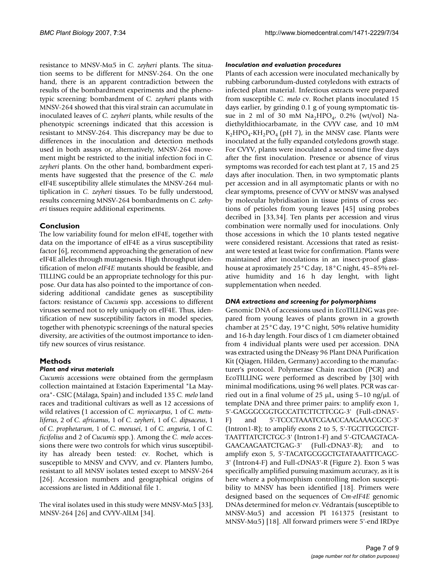resistance to MNSV-Mα5 in *C. zeyheri* plants. The situation seems to be different for MNSV-264. On the one hand, there is an apparent contradiction between the results of the bombardment experiments and the phenotypic screening: bombardment of *C. zeyheri* plants with MNSV-264 showed that this viral strain can accumulate in inoculated leaves of *C. zeyheri* plants, while results of the phenotypic screenings indicated that this accession is resistant to MNSV-264. This discrepancy may be due to differences in the inoculation and detection methods used in both assays or, alternatively, MNSV-264 movement might be restricted to the initial infection foci in *C. zeyheri* plants. On the other hand, bombardment experiments have suggested that the presence of the *C. melo* eIF4E susceptibility allele stimulates the MNSV-264 multiplication in *C. zeyheri* tissues. To be fully understood, results concerning MNSV-264 bombardments on *C. zehyeri* tissues require additional experiments.

## **Conclusion**

The low variability found for melon eIF4E, together with data on the importance of eIF4E as a virus susceptibility factor [6], recommend approaching the generation of new eIF4E alleles through mutagenesis. High throughput identification of melon *eIF4E* mutants should be feasible, and TILLING could be an appropriate technology for this purpose. Our data has also pointed to the importance of considering additional candidate genes as susceptibility factors: resistance of *Cucumis* spp. accessions to different viruses seemed not to rely uniquely on eIF4E. Thus, identification of new susceptibility factors in model species, together with phenotypic screenings of the natural species diversity, are activities of the outmost importance to identify new sources of virus resistance.

## **Methods**

### *Plant and virus materials*

*Cucumis* accessions were obtained from the germplasm collection maintained at Estación Experimental "La Mayora"- CSIC (Málaga, Spain) and included 135 *C. melo* land races and traditional cultivars as well as 12 accessions of wild relatives (1 accession of *C. myriocarpus*, 1 of *C. metuliferus*, 2 of *C. africanus*, 1 of *C. zeyheri*, 1 of *C. dipsaceus*, 1 of *C. prophetarum*, 1 of *C. meeusei*, 1 of *C. anguria*, 1 of *C. ficifolius* and 2 of *Cucumis* spp.). Among the *C. melo* accessions there were two controls for which virus susceptibility has already been tested: cv. Rochet, which is susceptible to MNSV and CVYV, and cv. Planters Jumbo, resistant to all MNSV isolates tested except to MNSV-264 [26]. Accession numbers and geographical origins of accessions are listed in Additional file 1.

The viral isolates used in this study were MNSV-M $\alpha$ 5 [33], MNSV-264 [26] and CVYV-AlLM [34].

#### *Inoculation and evaluation procedures*

Plants of each accession were inoculated mechanically by rubbing carborundum-dusted cotyledons with extracts of infected plant material. Infectious extracts were prepared from susceptible *C. melo* cv. Rochet plants inoculated 15 days earlier, by grinding 0.1 g of young symptomatic tissue in 2 ml of 30 mM  $Na<sub>2</sub>HPO<sub>4</sub>$ , 0.2% (wt/vol) Nadiethyldithiocarbamate, in the CVYV case, and 10 mM  $K_2HPO_4$ -KH<sub>2</sub>PO<sub>4</sub> (pH 7), in the MNSV case. Plants were inoculated at the fully expanded cotyledons growth stage. For CVYV, plants were inoculated a second time five days after the first inoculation. Presence or absence of virus symptoms was recorded for each test plant at 7, 15 and 25 days after inoculation. Then, in two symptomatic plants per accession and in all asymptomatic plants or with no clear symptoms, presence of CVYV or MNSV was analysed by molecular hybridisation in tissue prints of cross sections of petioles from young leaves [45] using probes decribed in [33,34]. Ten plants per accession and virus combination were normally used for inoculations. Only those accessions in which the 10 plants tested negative were considered resistant. Accessions that rated as resistant were tested at least twice for confirmation. Plants were maintained after inoculations in an insect-proof glasshouse at aproximately 25°C day, 18°C night, 45–85% relative humidity and 16 h day lenght, with light supplementation when needed.

### *DNA extractions and screening for polymorphisms*

Genomic DNA of accessions used in EcoTILLING was prepared from young leaves of plants grown in a growth chamber at 25°C day, 19°C night, 50% relative humidity and 16-h day length. Four discs of 1 cm diameter obtained from 4 individual plants were used per accession. DNA was extracted using the DNeasy 96 Plant DNA Purification Kit (Qiagen, Hilden, Germany) according to the manufacturer's protocol. Polymerase Chain reaction (PCR) and EcoTILLING were performed as described by [30] with minimal modifications, using 96 well plates. PCR was carried out in a final volume of 25  $\mu$ L, using 5–10 ng/ $\mu$ L of template DNA and three primer pairs: to amplify exon 1, 5'-GAGGGCGGTGCCATTCTTCTTCGG-3' (Full-cDNA5'- F) and 5'-TCCCTAAATCGAACCAAGAAACGCC-3' (Intron1-R); to amplify exons 2 to 5, 5'-TGCTTGGCTGT-TAATTTATCTCTGC-3' (Intron1-F) and 5'-GTCAAGTACA-GAACAAGAATCTGAG-3' (Full-cDNA3'-R); and to amplify exon 5, 5'-TACATGCGGCTGTATAAATTTCAGC-3' (Intron4-F) and Full-cDNA3'-R (Figure 2). Exon 5 was specifically amplified pursuing maximum accuracy, as it is here where a polymorphism controlling melon susceptibility to MNSV has been identified [18]. Primers were designed based on the sequences of *Cm-eIF4E* genomic DNAs determined for melon cv. Védrantais (susceptible to MNSV-M $\alpha$ 5) and accession PI 161375 (resistant to MNSV-M $\alpha$ 5) [18]. All forward primers were 5'-end IRDye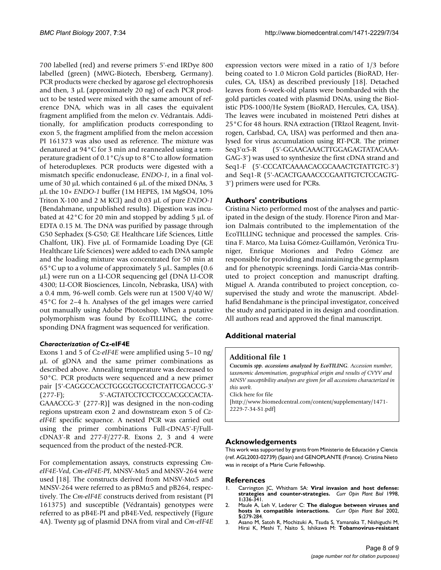700 labelled (red) and reverse primers 5'-end IRDye 800 labelled (green) (MWG-Biotech, Ebersberg, Germany). PCR products were checked by agarose gel electrophoresis and then,  $3 \mu L$  (approximately 20 ng) of each PCR product to be tested were mixed with the same amount of reference DNA, which was in all cases the equivalent fragment amplified from the melon cv. Védrantais. Additionally, for amplification products corresponding to exon 5, the fragment amplified from the melon accession PI 161373 was also used as reference. The mixture was denatured at 94°C for 3 min and reannealed using a temperature gradient of 0.1°C/s up to 8°C to allow formation of heteroduplexes. PCR products were digested with a mismatch specific endonuclease, *ENDO-1*, in a final volume of 30 µL which contained 6 µL of the mixed DNAs, 3 µL the 10× *ENDO-1* buffer (1M HEPES, 1M MgSO4, 10% Triton X-100 and 2 M KCl) and 0.03 µL of pure *ENDO-1* (Bendahmane, unpublished results). Digestion was incubated at  $42^{\circ}$ C for 20 min and stopped by adding 5  $\mu$ L of EDTA 0.15 M. The DNA was purified by passage through G50 Sephadex (S-G50; GE Healthcare Life Sciences, Little Chalfont, UK). Five  $\mu$ L of Formamide Loading Dye (GE) Healthcare Life Sciences) were added to each DNA sample and the loading mixture was concentrated for 50 min at 65°C up to a volume of approximately 5 µL. Samples (0.6 µL) were run on a LI-COR sequencing gel (DNA LI-COR 4300; LI-COR Biosciences, Lincoln, Nebraska, USA) with a 0.4 mm, 96-well comb. Gels were run at 1500 V/40 W/ 45°C for 2–4 h. Analyses of the gel images were carried out manually using Adobe Photoshop. When a putative polymorphism was found by EcoTILLING, the corresponding DNA fragment was sequenced for verification.

### *Characterization of* **Cz-eIF4E**

Exons 1 and 5 of *Cz-eIF4E* were amplified using 5–10 ng/ µL of gDNA and the same primer combinations as described above. Annealing temperature was decreased to 50°C. PCR products were sequenced and a new primer pair [5'-CAGGCCACCTGGGGTGCGTCTATTCGACCG-3' (277-F); 5'-AGTATCCTCCTCCCACGCCACTA-GAAACCG-3' (277-R)] was designed in the non-coding regions upstream exon 2 and downstream exon 5 of *CzeIF4E* specific sequence. A nested PCR was carried out using the primer combinations Full-cDNA5'-F/Full $cDNA3'$ -R and  $277-F/277-R$ . Exons 2, 3 and 4 were sequenced from the product of the nested-PCR.

For complementation assays, constructs expressing *CmeIF4E-Ved*, *Cm-eIF4E-PI*, MNSV-Mα5 and MNSV-264 were used [18]. The constructs derived from MNSV-M $\alpha$ 5 and MNSV-264 were referred to as  $pBM\alpha5$  and  $pB264$ , respectively. The *Cm-eIF4E* constructs derived from resistant (PI 161375) and susceptible (Védrantais) genotypes were referred to as pB4E-PI and pB4E-Ved, respectively (Figure 4A). Twenty µg of plasmid DNA from viral and *Cm-eIF4E* expression vectors were mixed in a ratio of 1/3 before being coated to 1.0 Micron Gold particles (BioRAD, Hercules, CA, USA) as described previously [18]. Detached leaves from 6-week-old plants were bombarded with the gold particles coated with plasmid DNAs, using the Biolistic PDS-1000/He System (BioRAD, Hercules, CA, USA). The leaves were incubated in moistened Petri dishes at 25°C for 48 hours. RNA extraction (TRIzol Reagent, Invitrogen, Carlsbad, CA, USA) was performed and then analysed for virus accumulation using RT-PCR. The primer Seq3'α5-R (5'-GGAACAAACTTGGAGAGTATACAAA-GAG-3') was used to synthesize the first cDNA strand and Seq1-F (5'-CCCATCAAAACACGCAAACTGTATTGTC-3') and Seq1-R (5'-ACACTGAAACCCGAATTGTCTCCAGTG-3') primers were used for PCRs.

## **Authors' contributions**

Cristina Nieto performed most of the analyses and participated in the design of the study. Florence Piron and Marion Dalmais contributed to the implementation of the EcoTILLING technique and processed the samples. Cristina F. Marco, Ma Luisa Gómez-Guillamón, Verónica Truniger, Enrique Moriones and Pedro Gómez are responsible for providing and maintaining the germplasm and for phenotypic screenings. Jordi Garcia-Mas contributed to project conception and manuscript drafting. Miguel A. Aranda contributed to project conception, cosupervised the study and wrote the manuscript. Abdelhafid Bendahmane is the principal investigator, conceived the study and participated in its design and coordination. All authors read and approved the final manuscript.

## **Additional material**

## **Additional file 1**

**Cucumis** *spp. accessions analyzed by EcoTILING. Accession number, taxonomic denomination, geographical origin and results of CVYV and MNSV susceptibility analyses are given for all accessions characterized in this work.*

Click here for file

[\[http://www.biomedcentral.com/content/supplementary/1471-](http://www.biomedcentral.com/content/supplementary/1471-2229-7-34-S1.pdf) 2229-7-34-S1.pdf]

### **Acknowledgements**

This work was supported by grants from Ministerio de Educación y Ciencia (ref. AGL2003-02739) (Spain) and GENOPLANTE (France). Cristina Nieto was in receipt of a Marie Curie Fellowship.

### **References**

- 1. Carrington JC, Whitham SA: **[Viral invasion and host defense:](http://www.ncbi.nlm.nih.gov/entrez/query.fcgi?cmd=Retrieve&db=PubMed&dopt=Abstract&list_uids=10066606) [strategies and counter-strategies.](http://www.ncbi.nlm.nih.gov/entrez/query.fcgi?cmd=Retrieve&db=PubMed&dopt=Abstract&list_uids=10066606)** *Curr Opin Plant Biol* 1998, **1:**336-341.
- 2. Maule A, Leh V, Lederer C: **[The dialogue between viruses and](http://www.ncbi.nlm.nih.gov/entrez/query.fcgi?cmd=Retrieve&db=PubMed&dopt=Abstract&list_uids=12179959) [hosts in compatible interactions.](http://www.ncbi.nlm.nih.gov/entrez/query.fcgi?cmd=Retrieve&db=PubMed&dopt=Abstract&list_uids=12179959)** *Curr Opin Plant Biol* 2002, **5:**279-284.
- 3. Asano M, Satoh R, Mochizuki A, Tsuda S, Yamanaka T, Nishiguchi M, Hirai K, Meshi T, Naito S, Ishikawa M: **Tobamovirus-resistant**